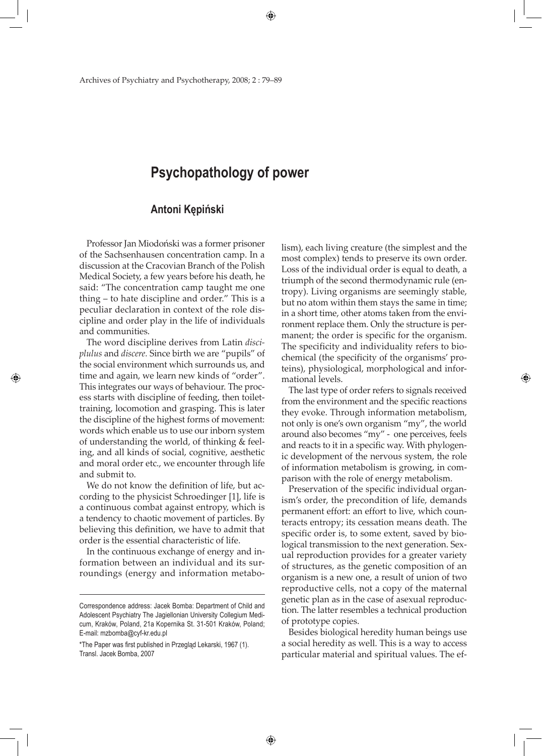# **Psychopathology of power**

## **Antoni Kępiński**

Professor Jan Miodoński was a former prisoner of the Sachsenhausen concentration camp. In a discussion at the Cracovian Branch of the Polish Medical Society, a few years before his death, he said: "The concentration camp taught me one thing – to hate discipline and order." This is a peculiar declaration in context of the role discipline and order play in the life of individuals and communities.

The word discipline derives from Latin *disciplulus* and *discere.* Since birth we are "pupils" of the social environment which surrounds us, and time and again, we learn new kinds of "order". This integrates our ways of behaviour. The process starts with discipline of feeding, then toilettraining, locomotion and grasping. This is later the discipline of the highest forms of movement: words which enable us to use our inborn system of understanding the world, of thinking & feeling, and all kinds of social, cognitive, aesthetic and moral order etc., we encounter through life and submit to.

◈

We do not know the definition of life, but according to the physicist Schroedinger [1], life is a continuous combat against entropy, which is a tendency to chaotic movement of particles. By believing this definition, we have to admit that order is the essential characteristic of life.

In the continuous exchange of energy and information between an individual and its surroundings (energy and information metabo-

◈

lism), each living creature (the simplest and the most complex) tends to preserve its own order. Loss of the individual order is equal to death, a triumph of the second thermodynamic rule (entropy). Living organisms are seemingly stable, but no atom within them stays the same in time; in a short time, other atoms taken from the environment replace them. Only the structure is permanent; the order is specific for the organism. The specificity and individuality refers to biochemical (the specificity of the organisms' proteins), physiological, morphological and informational levels.

The last type of order refers to signals received from the environment and the specific reactions they evoke. Through information metabolism, not only is one's own organism "my", the world around also becomes "my" - one perceives, feels and reacts to it in a specific way. With phylogenic development of the nervous system, the role of information metabolism is growing, in comparison with the role of energy metabolism.

◈

Preservation of the specific individual organism's order, the precondition of life, demands permanent effort: an effort to live, which counteracts entropy; its cessation means death. The specific order is, to some extent, saved by biological transmission to the next generation. Sexual reproduction provides for a greater variety of structures, as the genetic composition of an organism is a new one, a result of union of two reproductive cells, not a copy of the maternal genetic plan as in the case of asexual reproduction. The latter resembles a technical production of prototype copies.

Besides biological heredity human beings use a social heredity as well. This is a way to access particular material and spiritual values. The ef-

Correspondence address: Jacek Bomba: Department of Child and Adolescent Psychiatry The Jagiellonian University Collegium Medicum, Kraków, Poland, 21a Kopernika St. 31-501 Kraków, Poland; E-mail: mzbomba@cyf-kr.edu.pl

<sup>\*</sup>The Paper was first published in Przegląd Lekarski, 1967 (1). Transl. Jacek Bomba, 2007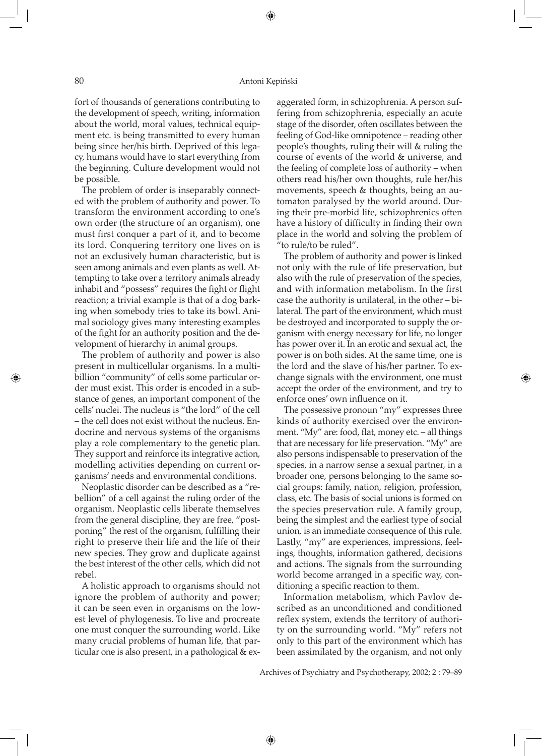## 80 Antoni Kępiński

⊕

fort of thousands of generations contributing to the development of speech, writing, information about the world, moral values, technical equipment etc. is being transmitted to every human being since her/his birth. Deprived of this legacy, humans would have to start everything from the beginning. Culture development would not be possible.

The problem of order is inseparably connected with the problem of authority and power. To transform the environment according to one's own order (the structure of an organism), one must first conquer a part of it, and to become its lord. Conquering territory one lives on is not an exclusively human characteristic, but is seen among animals and even plants as well. Attempting to take over a territory animals already inhabit and "possess" requires the fight or flight reaction; a trivial example is that of a dog barking when somebody tries to take its bowl. Animal sociology gives many interesting examples of the fight for an authority position and the development of hierarchy in animal groups.

The problem of authority and power is also present in multicellular organisms. In a multibillion "community" of cells some particular order must exist. This order is encoded in a substance of genes, an important component of the cells' nuclei. The nucleus is "the lord" of the cell – the cell does not exist without the nucleus. Endocrine and nervous systems of the organisms play a role complementary to the genetic plan. They support and reinforce its integrative action, modelling activities depending on current organisms' needs and environmental conditions.

Neoplastic disorder can be described as a "rebellion" of a cell against the ruling order of the organism. Neoplastic cells liberate themselves from the general discipline, they are free, "postponing" the rest of the organism, fulfilling their right to preserve their life and the life of their new species. They grow and duplicate against the best interest of the other cells, which did not rebel.

A holistic approach to organisms should not ignore the problem of authority and power; it can be seen even in organisms on the lowest level of phylogenesis. To live and procreate one must conquer the surrounding world. Like many crucial problems of human life, that particular one is also present, in a pathological & exaggerated form, in schizophrenia. A person suffering from schizophrenia, especially an acute stage of the disorder, often oscillates between the feeling of God-like omnipotence – reading other people's thoughts, ruling their will & ruling the course of events of the world & universe, and the feeling of complete loss of authority – when others read his/her own thoughts, rule her/his movements, speech & thoughts, being an automaton paralysed by the world around. During their pre-morbid life, schizophrenics often have a history of difficulty in finding their own place in the world and solving the problem of "to rule/to be ruled".

The problem of authority and power is linked not only with the rule of life preservation, but also with the rule of preservation of the species, and with information metabolism. In the first case the authority is unilateral, in the other – bilateral. The part of the environment, which must be destroyed and incorporated to supply the organism with energy necessary for life, no longer has power over it. In an erotic and sexual act, the power is on both sides. At the same time, one is the lord and the slave of his/her partner. To exchange signals with the environment, one must accept the order of the environment, and try to enforce ones' own influence on it.

◈

The possessive pronoun "my" expresses three kinds of authority exercised over the environment. "My" are: food, flat, money etc. – all things that are necessary for life preservation. "My" are also persons indispensable to preservation of the species, in a narrow sense a sexual partner, in a broader one, persons belonging to the same social groups: family, nation, religion, profession, class, etc. The basis of social unions is formed on the species preservation rule. A family group, being the simplest and the earliest type of social union, is an immediate consequence of this rule. Lastly, "my" are experiences, impressions, feelings, thoughts, information gathered, decisions and actions. The signals from the surrounding world become arranged in a specific way, conditioning a specific reaction to them.

Information metabolism, which Pavlov described as an unconditioned and conditioned reflex system, extends the territory of authority on the surrounding world. "My" refers not only to this part of the environment which has been assimilated by the organism, and not only

Archives of Psychiatry and Psychotherapy, 2002; 2 : 79–89

◈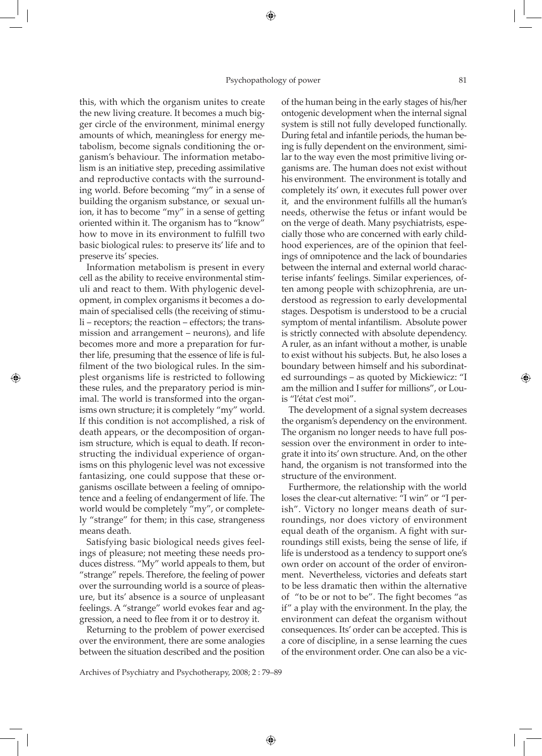this, with which the organism unites to create the new living creature. It becomes a much bigger circle of the environment, minimal energy amounts of which, meaningless for energy metabolism, become signals conditioning the organism's behaviour. The information metabolism is an initiative step, preceding assimilative and reproductive contacts with the surrounding world. Before becoming "my" in a sense of building the organism substance, or sexual union, it has to become "my" in a sense of getting oriented within it. The organism has to "know" how to move in its environment to fulfill two basic biological rules: to preserve its' life and to preserve its' species.

Information metabolism is present in every cell as the ability to receive environmental stimuli and react to them. With phylogenic development, in complex organisms it becomes a domain of specialised cells (the receiving of stimuli – receptors; the reaction – effectors; the transmission and arrangement – neurons), and life becomes more and more a preparation for further life, presuming that the essence of life is fulfilment of the two biological rules. In the simplest organisms life is restricted to following these rules, and the preparatory period is minimal. The world is transformed into the organisms own structure; it is completely "my" world. If this condition is not accomplished, a risk of death appears, or the decomposition of organism structure, which is equal to death. If reconstructing the individual experience of organisms on this phylogenic level was not excessive fantasizing, one could suppose that these organisms oscillate between a feeling of omnipotence and a feeling of endangerment of life. The world would be completely "my", or completely "strange" for them; in this case, strangeness means death.

◈

Satisfying basic biological needs gives feelings of pleasure; not meeting these needs produces distress. "My" world appeals to them, but "strange" repels. Therefore, the feeling of power over the surrounding world is a source of pleasure, but its' absence is a source of unpleasant feelings. A "strange" world evokes fear and aggression, a need to flee from it or to destroy it.

Returning to the problem of power exercised over the environment, there are some analogies between the situation described and the position of the human being in the early stages of his/her ontogenic development when the internal signal system is still not fully developed functionally. During fetal and infantile periods, the human being is fully dependent on the environment, similar to the way even the most primitive living organisms are. The human does not exist without his environment. The environment is totally and completely its' own, it executes full power over it, and the environment fulfills all the human's needs, otherwise the fetus or infant would be on the verge of death. Many psychiatrists, especially those who are concerned with early childhood experiences, are of the opinion that feelings of omnipotence and the lack of boundaries between the internal and external world characterise infants' feelings. Similar experiences, often among people with schizophrenia, are understood as regression to early developmental stages. Despotism is understood to be a crucial symptom of mental infantilism. Absolute power is strictly connected with absolute dependency. A ruler, as an infant without a mother, is unable to exist without his subjects. But, he also loses a boundary between himself and his subordinated surroundings – as quoted by Mickiewicz: "I am the million and I suffer for millions", or Louis "l'état c'est moi".

The development of a signal system decreases the organism's dependency on the environment. The organism no longer needs to have full possession over the environment in order to integrate it into its' own structure. And, on the other hand, the organism is not transformed into the structure of the environment.

Furthermore, the relationship with the world loses the clear-cut alternative: "I win" or "I perish". Victory no longer means death of surroundings, nor does victory of environment equal death of the organism. A fight with surroundings still exists, being the sense of life, if life is understood as a tendency to support one's own order on account of the order of environment. Nevertheless, victories and defeats start to be less dramatic then within the alternative of "to be or not to be". The fight becomes "as if" a play with the environment. In the play, the environment can defeat the organism without consequences. Its' order can be accepted. This is a core of discipline, in a sense learning the cues of the environment order. One can also be a vic-

Archives of Psychiatry and Psychotherapy, 2008; 2 : 79–89

◈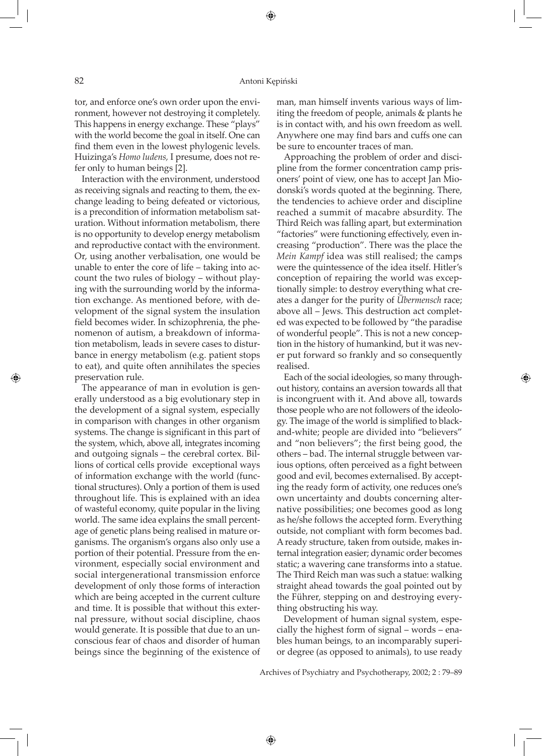tor, and enforce one's own order upon the environment, however not destroying it completely. This happens in energy exchange. These "plays" with the world become the goal in itself. One can find them even in the lowest phylogenic levels. Huizinga's *Homo ludens,* I presume, does not refer only to human beings [2].

Interaction with the environment, understood as receiving signals and reacting to them, the exchange leading to being defeated or victorious, is a precondition of information metabolism saturation. Without information metabolism, there is no opportunity to develop energy metabolism and reproductive contact with the environment. Or, using another verbalisation, one would be unable to enter the core of life – taking into account the two rules of biology – without playing with the surrounding world by the information exchange. As mentioned before, with development of the signal system the insulation field becomes wider. In schizophrenia, the phenomenon of autism, a breakdown of information metabolism, leads in severe cases to disturbance in energy metabolism (e.g. patient stops to eat), and quite often annihilates the species preservation rule.

The appearance of man in evolution is generally understood as a big evolutionary step in the development of a signal system, especially in comparison with changes in other organism systems. The change is significant in this part of the system, which, above all, integrates incoming and outgoing signals – the cerebral cortex. Billions of cortical cells provide exceptional ways of information exchange with the world (functional structures). Only a portion of them is used throughout life. This is explained with an idea of wasteful economy, quite popular in the living world. The same idea explains the small percentage of genetic plans being realised in mature organisms. The organism's organs also only use a portion of their potential. Pressure from the environment, especially social environment and social intergenerational transmission enforce development of only those forms of interaction which are being accepted in the current culture and time. It is possible that without this external pressure, without social discipline, chaos would generate. It is possible that due to an unconscious fear of chaos and disorder of human beings since the beginning of the existence of

man, man himself invents various ways of limiting the freedom of people, animals & plants he is in contact with, and his own freedom as well. Anywhere one may find bars and cuffs one can be sure to encounter traces of man.

Approaching the problem of order and discipline from the former concentration camp prisoners' point of view, one has to accept Jan Miodonski's words quoted at the beginning. There, the tendencies to achieve order and discipline reached a summit of macabre absurdity. The Third Reich was falling apart, but extermination "factories" were functioning effectively, even increasing "production". There was the place the *Mein Kampf* idea was still realised; the camps were the quintessence of the idea itself. Hitler's conception of repairing the world was exceptionally simple: to destroy everything what creates a danger for the purity of *Übermensch* race; above all – Jews. This destruction act completed was expected to be followed by "the paradise of wonderful people". This is not a new conception in the history of humankind, but it was never put forward so frankly and so consequently realised.

Each of the social ideologies, so many throughout history, contains an aversion towards all that is incongruent with it. And above all, towards those people who are not followers of the ideology. The image of the world is simplified to blackand-white; people are divided into "believers" and "non believers"; the first being good, the others – bad. The internal struggle between various options, often perceived as a fight between good and evil, becomes externalised. By accepting the ready form of activity, one reduces one's own uncertainty and doubts concerning alternative possibilities; one becomes good as long as he/she follows the accepted form. Everything outside, not compliant with form becomes bad. A ready structure, taken from outside, makes internal integration easier; dynamic order becomes static; a wavering cane transforms into a statue. The Third Reich man was such a statue: walking straight ahead towards the goal pointed out by the Führer, stepping on and destroying everything obstructing his way.

◈

Development of human signal system, especially the highest form of signal – words – enables human beings, to an incomparably superior degree (as opposed to animals), to use ready

Archives of Psychiatry and Psychotherapy, 2002; 2 : 79–89

◈

⊕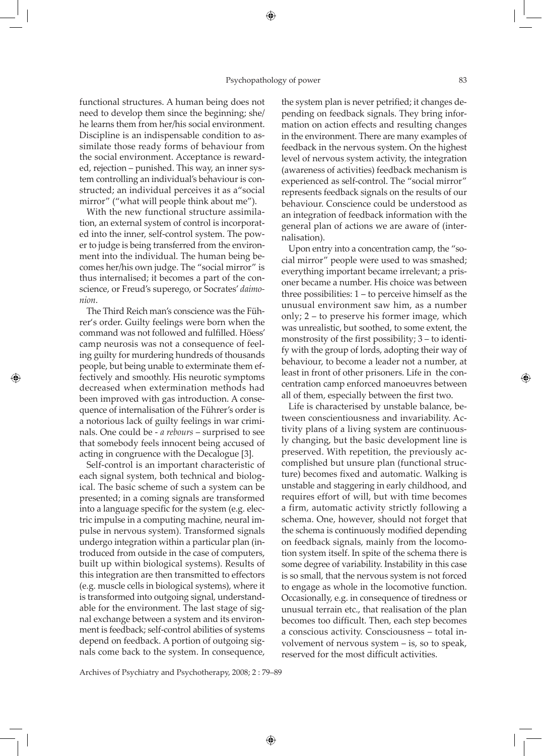#### Psychopathology of power 83

⊕

functional structures. A human being does not need to develop them since the beginning; she/ he learns them from her/his social environment. Discipline is an indispensable condition to assimilate those ready forms of behaviour from the social environment. Acceptance is rewarded, rejection – punished. This way, an inner system controlling an individual's behaviour is constructed; an individual perceives it as a"social mirror" ("what will people think about me").

With the new functional structure assimilation, an external system of control is incorporated into the inner, self-control system. The power to judge is being transferred from the environment into the individual. The human being becomes her/his own judge. The "social mirror" is thus internalised; it becomes a part of the conscience, or Freud's superego, or Socrates' *daimonion*.

The Third Reich man's conscience was the Führer's order. Guilty feelings were born when the command was not followed and fulfilled. Höess' camp neurosis was not a consequence of feeling guilty for murdering hundreds of thousands people, but being unable to exterminate them effectively and smoothly. His neurotic symptoms decreased when extermination methods had been improved with gas introduction. A consequence of internalisation of the Führer's order is a notorious lack of guilty feelings in war criminals. One could be - *a rebours* – surprised to see that somebody feels innocent being accused of acting in congruence with the Decalogue [3].

◈

Self-control is an important characteristic of each signal system, both technical and biological. The basic scheme of such a system can be presented; in a coming signals are transformed into a language specific for the system (e.g. electric impulse in a computing machine, neural impulse in nervous system). Transformed signals undergo integration within a particular plan (introduced from outside in the case of computers, built up within biological systems). Results of this integration are then transmitted to effectors (e.g. muscle cells in biological systems), where it is transformed into outgoing signal, understandable for the environment. The last stage of signal exchange between a system and its environment is feedback; self-control abilities of systems depend on feedback. A portion of outgoing signals come back to the system. In consequence,

the system plan is never petrified; it changes depending on feedback signals. They bring information on action effects and resulting changes in the environment. There are many examples of feedback in the nervous system. On the highest level of nervous system activity, the integration (awareness of activities) feedback mechanism is experienced as self-control. The "social mirror" represents feedback signals on the results of our behaviour. Conscience could be understood as an integration of feedback information with the general plan of actions we are aware of (internalisation).

Upon entry into a concentration camp, the "social mirror" people were used to was smashed; everything important became irrelevant; a prisoner became a number. His choice was between three possibilities: 1 – to perceive himself as the unusual environment saw him, as a number only; 2 – to preserve his former image, which was unrealistic, but soothed, to some extent, the monstrosity of the first possibility; 3 – to identify with the group of lords, adopting their way of behaviour, to become a leader not a number, at least in front of other prisoners. Life in the concentration camp enforced manoeuvres between all of them, especially between the first two.

Life is characterised by unstable balance, between conscientiousness and invariability. Activity plans of a living system are continuously changing, but the basic development line is preserved. With repetition, the previously accomplished but unsure plan (functional structure) becomes fixed and automatic. Walking is unstable and staggering in early childhood, and requires effort of will, but with time becomes a firm, automatic activity strictly following a schema. One, however, should not forget that the schema is continuously modified depending on feedback signals, mainly from the locomotion system itself. In spite of the schema there is some degree of variability. Instability in this case is so small, that the nervous system is not forced to engage as whole in the locomotive function. Occasionally, e.g. in consequence of tiredness or unusual terrain etc., that realisation of the plan becomes too difficult. Then, each step becomes a conscious activity. Consciousness – total involvement of nervous system – is, so to speak, reserved for the most difficult activities.

Archives of Psychiatry and Psychotherapy, 2008; 2 : 79–89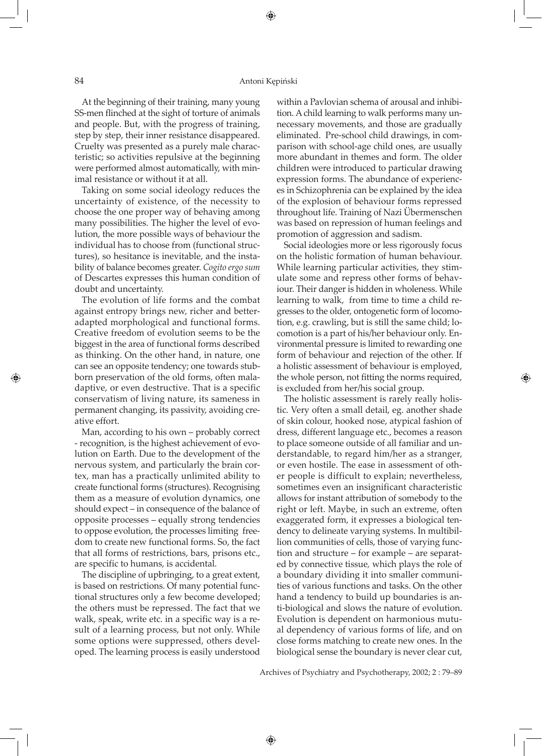### 84 Antoni Kępiński

⊕

At the beginning of their training, many young SS-men flinched at the sight of torture of animals and people. But, with the progress of training, step by step, their inner resistance disappeared. Cruelty was presented as a purely male characteristic; so activities repulsive at the beginning were performed almost automatically, with minimal resistance or without it at all.

Taking on some social ideology reduces the uncertainty of existence, of the necessity to choose the one proper way of behaving among many possibilities. The higher the level of evolution, the more possible ways of behaviour the individual has to choose from (functional structures), so hesitance is inevitable, and the instability of balance becomes greater. *Cogito ergo sum* of Descartes expresses this human condition of doubt and uncertainty.

The evolution of life forms and the combat against entropy brings new, richer and betteradapted morphological and functional forms. Creative freedom of evolution seems to be the biggest in the area of functional forms described as thinking. On the other hand, in nature, one can see an opposite tendency; one towards stubborn preservation of the old forms, often maladaptive, or even destructive. That is a specific conservatism of living nature, its sameness in permanent changing, its passivity, avoiding creative effort.

Man, according to his own – probably correct - recognition, is the highest achievement of evolution on Earth. Due to the development of the nervous system, and particularly the brain cortex, man has a practically unlimited ability to create functional forms (structures). Recognising them as a measure of evolution dynamics, one should expect – in consequence of the balance of opposite processes – equally strong tendencies to oppose evolution, the processes limiting freedom to create new functional forms. So, the fact that all forms of restrictions, bars, prisons etc., are specific to humans, is accidental.

The discipline of upbringing, to a great extent, is based on restrictions. Of many potential functional structures only a few become developed; the others must be repressed. The fact that we walk, speak, write etc. in a specific way is a result of a learning process, but not only. While some options were suppressed, others developed. The learning process is easily understood within a Pavlovian schema of arousal and inhibition. A child learning to walk performs many unnecessary movements, and those are gradually eliminated. Pre-school child drawings, in comparison with school-age child ones, are usually more abundant in themes and form. The older children were introduced to particular drawing expression forms. The abundance of experiences in Schizophrenia can be explained by the idea of the explosion of behaviour forms repressed throughout life. Training of Nazi Übermenschen was based on repression of human feelings and promotion of aggression and sadism.

Social ideologies more or less rigorously focus on the holistic formation of human behaviour. While learning particular activities, they stimulate some and repress other forms of behaviour. Their danger is hidden in wholeness. While learning to walk, from time to time a child regresses to the older, ontogenetic form of locomotion, e.g. crawling, but is still the same child; locomotion is a part of his/her behaviour only. Environmental pressure is limited to rewarding one form of behaviour and rejection of the other. If a holistic assessment of behaviour is employed, the whole person, not fitting the norms required, is excluded from her/his social group.

◈

The holistic assessment is rarely really holistic. Very often a small detail, eg. another shade of skin colour, hooked nose, atypical fashion of dress, different language etc., becomes a reason to place someone outside of all familiar and understandable, to regard him/her as a stranger, or even hostile. The ease in assessment of other people is difficult to explain; nevertheless, sometimes even an insignificant characteristic allows for instant attribution of somebody to the right or left. Maybe, in such an extreme, often exaggerated form, it expresses a biological tendency to delineate varying systems. In multibillion communities of cells, those of varying function and structure – for example – are separated by connective tissue*,* which plays the role of a boundary dividing it into smaller communities of various functions and tasks. On the other hand a tendency to build up boundaries is anti-biological and slows the nature of evolution. Evolution is dependent on harmonious mutual dependency of various forms of life, and on close forms matching to create new ones. In the biological sense the boundary is never clear cut,

Archives of Psychiatry and Psychotherapy, 2002; 2 : 79–89

◈

⊕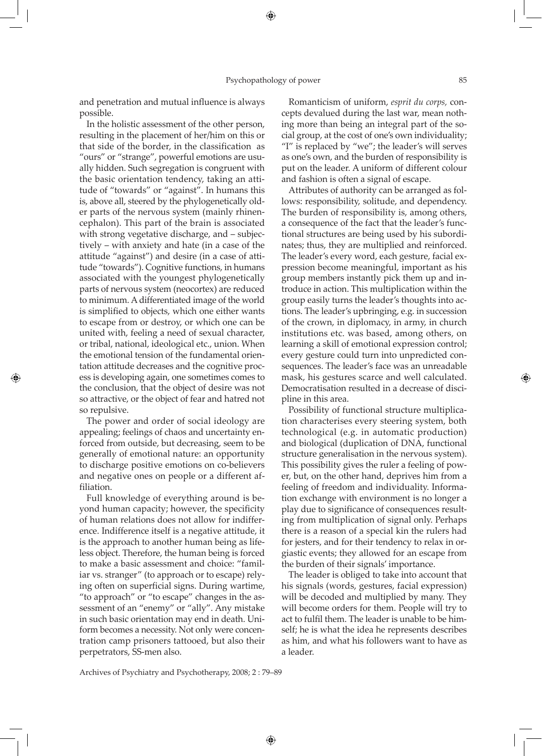and penetration and mutual influence is always possible.

In the holistic assessment of the other person, resulting in the placement of her/him on this or that side of the border, in the classification as "ours" or "strange", powerful emotions are usually hidden. Such segregation is congruent with the basic orientation tendency, taking an attitude of "towards" or "against". In humans this is, above all, steered by the phylogenetically older parts of the nervous system (mainly rhinencephalon). This part of the brain is associated with strong vegetative discharge, and – subjectively – with anxiety and hate (in a case of the attitude "against") and desire (in a case of attitude "towards"). Cognitive functions, in humans associated with the youngest phylogenetically parts of nervous system (neocortex) are reduced to minimum. A differentiated image of the world is simplified to objects, which one either wants to escape from or destroy, or which one can be united with, feeling a need of sexual character, or tribal, national, ideological etc., union. When the emotional tension of the fundamental orientation attitude decreases and the cognitive process is developing again, one sometimes comes to the conclusion, that the object of desire was not so attractive, or the object of fear and hatred not so repulsive.

The power and order of social ideology are appealing; feelings of chaos and uncertainty enforced from outside, but decreasing, seem to be generally of emotional nature: an opportunity to discharge positive emotions on co-believers and negative ones on people or a different affiliation.

◈

Full knowledge of everything around is beyond human capacity; however, the specificity of human relations does not allow for indifference. Indifference itself is a negative attitude, it is the approach to another human being as lifeless object. Therefore, the human being is forced to make a basic assessment and choice: "familiar vs. stranger" (to approach or to escape) relying often on superficial signs. During wartime, "to approach" or "to escape" changes in the assessment of an "enemy" or "ally". Any mistake in such basic orientation may end in death. Uniform becomes a necessity. Not only were concentration camp prisoners tattooed, but also their perpetrators, SS-men also.

Romanticism of uniform, *esprit du corps,* concepts devalued during the last war, mean nothing more than being an integral part of the social group, at the cost of one's own individuality; "I" is replaced by "we"; the leader's will serves as one's own, and the burden of responsibility is put on the leader. A uniform of different colour and fashion is often a signal of escape.

Attributes of authority can be arranged as follows: responsibility, solitude, and dependency. The burden of responsibility is, among others, a consequence of the fact that the leader's functional structures are being used by his subordinates; thus, they are multiplied and reinforced. The leader's every word, each gesture, facial expression become meaningful, important as his group members instantly pick them up and introduce in action. This multiplication within the group easily turns the leader's thoughts into actions. The leader's upbringing, e.g. in succession of the crown, in diplomacy, in army, in church institutions etc. was based, among others, on learning a skill of emotional expression control; every gesture could turn into unpredicted consequences. The leader's face was an unreadable mask, his gestures scarce and well calculated. Democratisation resulted in a decrease of discipline in this area.

Possibility of functional structure multiplication characterises every steering system, both technological (e.g. in automatic production) and biological (duplication of DNA, functional structure generalisation in the nervous system). This possibility gives the ruler a feeling of power, but, on the other hand, deprives him from a feeling of freedom and individuality. Information exchange with environment is no longer a play due to significance of consequences resulting from multiplication of signal only. Perhaps there is a reason of a special kin the rulers had for jesters, and for their tendency to relax in orgiastic events; they allowed for an escape from the burden of their signals' importance.

The leader is obliged to take into account that his signals (words, gestures, facial expression) will be decoded and multiplied by many. They will become orders for them. People will try to act to fulfil them. The leader is unable to be himself; he is what the idea he represents describes as him, and what his followers want to have as a leader.

Archives of Psychiatry and Psychotherapy, 2008; 2 : 79–89

◈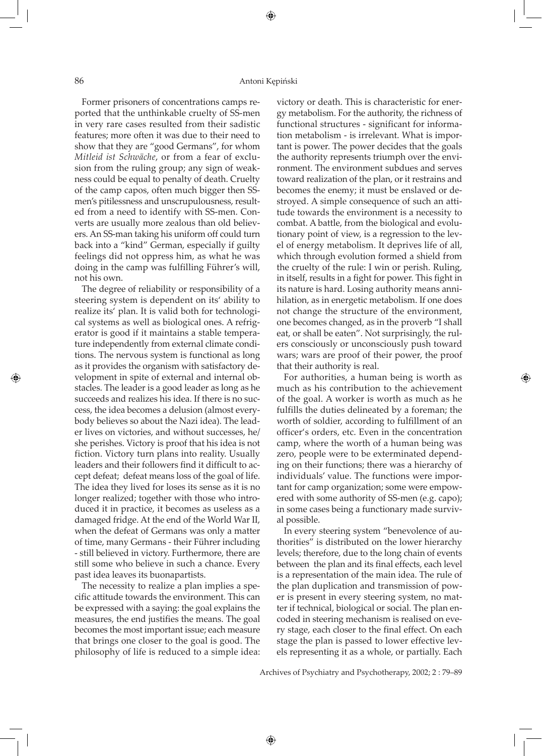#### 86 Antoni Kępiński

Former prisoners of concentrations camps reported that the unthinkable cruelty of SS-men in very rare cases resulted from their sadistic features; more often it was due to their need to show that they are "good Germans", for whom *Mitleid ist Schwäche*, or from a fear of exclusion from the ruling group; any sign of weakness could be equal to penalty of death. Cruelty of the camp capos, often much bigger then SSmen's pitilessness and unscrupulousness, resulted from a need to identify with SS-men. Converts are usually more zealous than old believers. An SS-man taking his uniform off could turn back into a "kind" German, especially if guilty feelings did not oppress him, as what he was doing in the camp was fulfilling Führer's will, not his own.

The degree of reliability or responsibility of a steering system is dependent on its' ability to realize its' plan. It is valid both for technological systems as well as biological ones. A refrigerator is good if it maintains a stable temperature independently from external climate conditions. The nervous system is functional as long as it provides the organism with satisfactory development in spite of external and internal obstacles. The leader is a good leader as long as he succeeds and realizes his idea. If there is no success, the idea becomes a delusion (almost everybody believes so about the Nazi idea). The leader lives on victories, and without successes, he/ she perishes. Victory is proof that his idea is not fiction. Victory turn plans into reality. Usually leaders and their followers find it difficult to accept defeat; defeat means loss of the goal of life. The idea they lived for loses its sense as it is no longer realized; together with those who introduced it in practice, it becomes as useless as a damaged fridge. At the end of the World War II, when the defeat of Germans was only a matter of time, many Germans - their Führer including - still believed in victory. Furthermore, there are still some who believe in such a chance. Every past idea leaves its buonapartists.

⊕

The necessity to realize a plan implies a specific attitude towards the environment. This can be expressed with a saying: the goal explains the measures, the end justifies the means. The goal becomes the most important issue; each measure that brings one closer to the goal is good. The philosophy of life is reduced to a simple idea: victory or death. This is characteristic for energy metabolism. For the authority, the richness of functional structures - significant for information metabolism - is irrelevant. What is important is power. The power decides that the goals the authority represents triumph over the environment. The environment subdues and serves toward realization of the plan, or it restrains and becomes the enemy; it must be enslaved or destroyed. A simple consequence of such an attitude towards the environment is a necessity to combat. A battle, from the biological and evolutionary point of view, is a regression to the level of energy metabolism. It deprives life of all, which through evolution formed a shield from the cruelty of the rule: I win or perish. Ruling, in itself, results in a fight for power. This fight in its nature is hard. Losing authority means annihilation, as in energetic metabolism. If one does not change the structure of the environment, one becomes changed, as in the proverb "I shall eat, or shall be eaten". Not surprisingly, the rulers consciously or unconsciously push toward wars; wars are proof of their power, the proof that their authority is real.

For authorities, a human being is worth as much as his contribution to the achievement of the goal. A worker is worth as much as he fulfills the duties delineated by a foreman; the worth of soldier, according to fulfillment of an officer's orders, etc. Even in the concentration camp, where the worth of a human being was zero, people were to be exterminated depending on their functions; there was a hierarchy of individuals' value. The functions were important for camp organization; some were empowered with some authority of SS-men (e.g. capo); in some cases being a functionary made survival possible.

◈

In every steering system "benevolence of authorities" is distributed on the lower hierarchy levels; therefore, due to the long chain of events between the plan and its final effects, each level is a representation of the main idea. The rule of the plan duplication and transmission of power is present in every steering system, no matter if technical, biological or social. The plan encoded in steering mechanism is realised on every stage, each closer to the final effect. On each stage the plan is passed to lower effective levels representing it as a whole, or partially. Each

Archives of Psychiatry and Psychotherapy, 2002; 2 : 79–89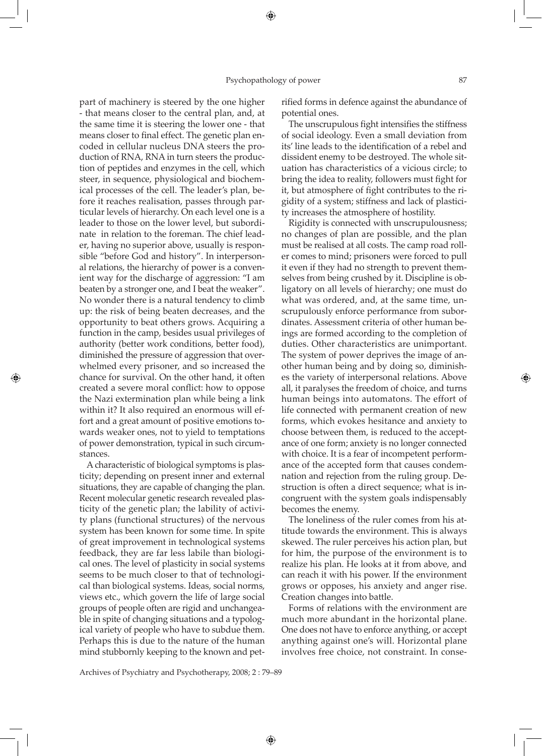◈

part of machinery is steered by the one higher - that means closer to the central plan, and, at the same time it is steering the lower one - that means closer to final effect. The genetic plan encoded in cellular nucleus DNA steers the production of RNA, RNA in turn steers the production of peptides and enzymes in the cell, which steer, in sequence, physiological and biochemical processes of the cell. The leader's plan, before it reaches realisation, passes through particular levels of hierarchy. On each level one is a leader to those on the lower level, but subordinate in relation to the foreman. The chief leader, having no superior above, usually is responsible "before God and history". In interpersonal relations, the hierarchy of power is a convenient way for the discharge of aggression: "I am beaten by a stronger one, and I beat the weaker". No wonder there is a natural tendency to climb up: the risk of being beaten decreases, and the opportunity to beat others grows. Acquiring a function in the camp, besides usual privileges of authority (better work conditions, better food), diminished the pressure of aggression that overwhelmed every prisoner, and so increased the chance for survival. On the other hand, it often created a severe moral conflict: how to oppose the Nazi extermination plan while being a link within it? It also required an enormous will effort and a great amount of positive emotions towards weaker ones, not to yield to temptations of power demonstration, typical in such circumstances.

◈

A characteristic of biological symptoms is plasticity; depending on present inner and external situations, they are capable of changing the plan. Recent molecular genetic research revealed plasticity of the genetic plan; the lability of activity plans (functional structures) of the nervous system has been known for some time. In spite of great improvement in technological systems feedback, they are far less labile than biological ones. The level of plasticity in social systems seems to be much closer to that of technological than biological systems. Ideas, social norms, views etc., which govern the life of large social groups of people often are rigid and unchangeable in spite of changing situations and a typological variety of people who have to subdue them. Perhaps this is due to the nature of the human mind stubbornly keeping to the known and petrified forms in defence against the abundance of potential ones.

The unscrupulous fight intensifies the stiffness of social ideology. Even a small deviation from its' line leads to the identification of a rebel and dissident enemy to be destroyed. The whole situation has characteristics of a vicious circle; to bring the idea to reality, followers must fight for it, but atmosphere of fight contributes to the rigidity of a system; stiffness and lack of plasticity increases the atmosphere of hostility.

Rigidity is connected with unscrupulousness; no changes of plan are possible, and the plan must be realised at all costs. The camp road roller comes to mind; prisoners were forced to pull it even if they had no strength to prevent themselves from being crushed by it. Discipline is obligatory on all levels of hierarchy; one must do what was ordered, and, at the same time, unscrupulously enforce performance from subordinates. Assessment criteria of other human beings are formed according to the completion of duties. Other characteristics are unimportant. The system of power deprives the image of another human being and by doing so, diminishes the variety of interpersonal relations. Above all, it paralyses the freedom of choice, and turns human beings into automatons. The effort of life connected with permanent creation of new forms, which evokes hesitance and anxiety to choose between them, is reduced to the acceptance of one form; anxiety is no longer connected with choice. It is a fear of incompetent performance of the accepted form that causes condemnation and rejection from the ruling group. Destruction is often a direct sequence; what is incongruent with the system goals indispensably becomes the enemy.

The loneliness of the ruler comes from his attitude towards the environment. This is always skewed. The ruler perceives his action plan, but for him, the purpose of the environment is to realize his plan. He looks at it from above, and can reach it with his power. If the environment grows or opposes, his anxiety and anger rise. Creation changes into battle.

Forms of relations with the environment are much more abundant in the horizontal plane. One does not have to enforce anything, or accept anything against one's will. Horizontal plane involves free choice, not constraint. In conse-

Archives of Psychiatry and Psychotherapy, 2008; 2 : 79–89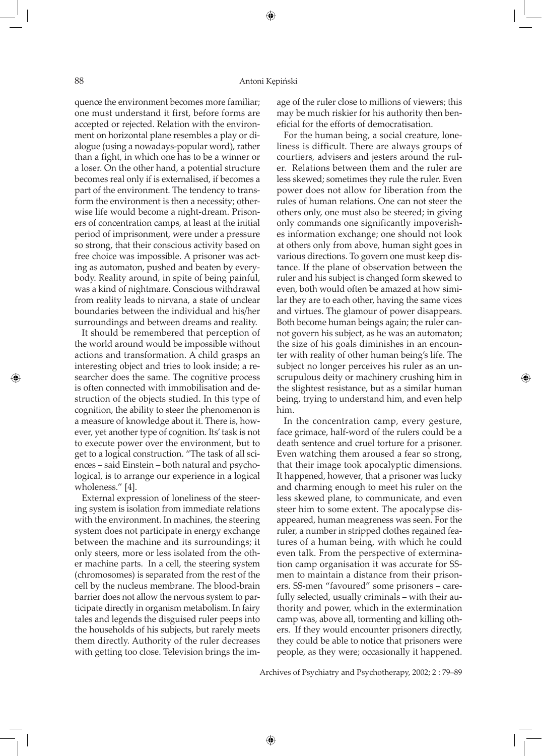quence the environment becomes more familiar; one must understand it first, before forms are accepted or rejected. Relation with the environment on horizontal plane resembles a play or dialogue (using a nowadays-popular word), rather than a fight, in which one has to be a winner or a loser. On the other hand, a potential structure becomes real only if is externalised, if becomes a part of the environment. The tendency to transform the environment is then a necessity; otherwise life would become a night-dream. Prisoners of concentration camps, at least at the initial period of imprisonment, were under a pressure so strong, that their conscious activity based on free choice was impossible. A prisoner was acting as automaton, pushed and beaten by everybody. Reality around, in spite of being painful, was a kind of nightmare. Conscious withdrawal from reality leads to nirvana, a state of unclear boundaries between the individual and his/her surroundings and between dreams and reality.

It should be remembered that perception of the world around would be impossible without actions and transformation. A child grasps an interesting object and tries to look inside; a researcher does the same. The cognitive process is often connected with immobilisation and destruction of the objects studied. In this type of cognition, the ability to steer the phenomenon is a measure of knowledge about it. There is, however, yet another type of cognition. Its' task is not to execute power over the environment, but to get to a logical construction. "The task of all sciences – said Einstein – both natural and psychological, is to arrange our experience in a logical wholeness." [4].

External expression of loneliness of the steering system is isolation from immediate relations with the environment. In machines, the steering system does not participate in energy exchange between the machine and its surroundings; it only steers, more or less isolated from the other machine parts. In a cell, the steering system (chromosomes) is separated from the rest of the cell by the nucleus membrane. The blood-brain barrier does not allow the nervous system to participate directly in organism metabolism. In fairy tales and legends the disguised ruler peeps into the households of his subjects, but rarely meets them directly. Authority of the ruler decreases with getting too close. Television brings the image of the ruler close to millions of viewers; this may be much riskier for his authority then beneficial for the efforts of democratisation.

For the human being, a social creature, loneliness is difficult. There are always groups of courtiers, advisers and jesters around the ruler. Relations between them and the ruler are less skewed; sometimes they rule the ruler. Even power does not allow for liberation from the rules of human relations. One can not steer the others only, one must also be steered; in giving only commands one significantly impoverishes information exchange; one should not look at others only from above, human sight goes in various directions. To govern one must keep distance. If the plane of observation between the ruler and his subject is changed form skewed to even, both would often be amazed at how similar they are to each other, having the same vices and virtues. The glamour of power disappears. Both become human beings again; the ruler cannot govern his subject, as he was an automaton; the size of his goals diminishes in an encounter with reality of other human being's life. The subject no longer perceives his ruler as an unscrupulous deity or machinery crushing him in the slightest resistance, but as a similar human being, trying to understand him, and even help him.

◈

In the concentration camp, every gesture, face grimace, half-word of the rulers could be a death sentence and cruel torture for a prisoner. Even watching them aroused a fear so strong, that their image took apocalyptic dimensions. It happened, however, that a prisoner was lucky and charming enough to meet his ruler on the less skewed plane, to communicate, and even steer him to some extent. The apocalypse disappeared, human meagreness was seen. For the ruler, a number in stripped clothes regained features of a human being, with which he could even talk. From the perspective of extermination camp organisation it was accurate for SSmen to maintain a distance from their prisoners. SS-men "favoured" some prisoners – carefully selected, usually criminals – with their authority and power, which in the extermination camp was, above all, tormenting and killing others. If they would encounter prisoners directly, they could be able to notice that prisoners were people, as they were; occasionally it happened.

Archives of Psychiatry and Psychotherapy, 2002; 2 : 79–89

◈

♠